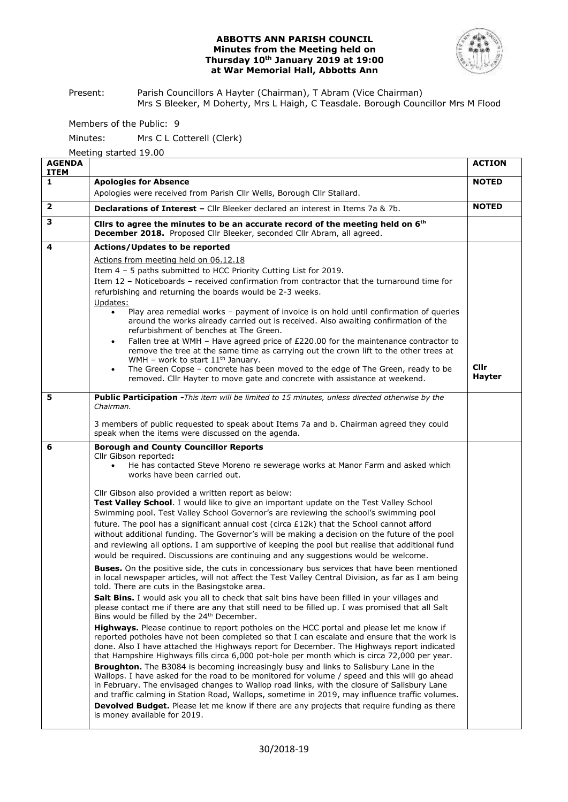### **ABBOTTS ANN PARISH COUNCIL Minutes from the Meeting held on Thursday 10th January 2019 at 19:00 at War Memorial Hall, Abbotts Ann**



Present: Parish Councillors A Hayter (Chairman), T Abram (Vice Chairman) Mrs S Bleeker, M Doherty, Mrs L Haigh, C Teasdale. Borough Councillor Mrs M Flood

Members of the Public: 9

Minutes: Mrs C L Cotterell (Clerk)

Meeting started 19.00

| <b>AGENDA</b><br><b>ITEM</b> |                                                                                                                                                                                                                                                                                                                                                                                                                                                                                                                                                                                                                                                                                                                                                                                                                                                                                                                                                                                                                                                                                                                                                                                                                                                                                                                                                                                                                                                                                                                                                                                                                                                                                                                                                                                                                                                                                                                                                                                                                                                                                                                                                                                                                                                                                          | <b>ACTION</b>                |  |  |
|------------------------------|------------------------------------------------------------------------------------------------------------------------------------------------------------------------------------------------------------------------------------------------------------------------------------------------------------------------------------------------------------------------------------------------------------------------------------------------------------------------------------------------------------------------------------------------------------------------------------------------------------------------------------------------------------------------------------------------------------------------------------------------------------------------------------------------------------------------------------------------------------------------------------------------------------------------------------------------------------------------------------------------------------------------------------------------------------------------------------------------------------------------------------------------------------------------------------------------------------------------------------------------------------------------------------------------------------------------------------------------------------------------------------------------------------------------------------------------------------------------------------------------------------------------------------------------------------------------------------------------------------------------------------------------------------------------------------------------------------------------------------------------------------------------------------------------------------------------------------------------------------------------------------------------------------------------------------------------------------------------------------------------------------------------------------------------------------------------------------------------------------------------------------------------------------------------------------------------------------------------------------------------------------------------------------------|------------------------------|--|--|
| 1                            | <b>Apologies for Absence</b>                                                                                                                                                                                                                                                                                                                                                                                                                                                                                                                                                                                                                                                                                                                                                                                                                                                                                                                                                                                                                                                                                                                                                                                                                                                                                                                                                                                                                                                                                                                                                                                                                                                                                                                                                                                                                                                                                                                                                                                                                                                                                                                                                                                                                                                             |                              |  |  |
|                              | Apologies were received from Parish Cllr Wells, Borough Cllr Stallard.                                                                                                                                                                                                                                                                                                                                                                                                                                                                                                                                                                                                                                                                                                                                                                                                                                                                                                                                                                                                                                                                                                                                                                                                                                                                                                                                                                                                                                                                                                                                                                                                                                                                                                                                                                                                                                                                                                                                                                                                                                                                                                                                                                                                                   |                              |  |  |
| $\overline{\mathbf{2}}$      | <b>Declarations of Interest - Cllr Bleeker declared an interest in Items 7a &amp; 7b.</b>                                                                                                                                                                                                                                                                                                                                                                                                                                                                                                                                                                                                                                                                                                                                                                                                                                                                                                                                                                                                                                                                                                                                                                                                                                                                                                                                                                                                                                                                                                                                                                                                                                                                                                                                                                                                                                                                                                                                                                                                                                                                                                                                                                                                |                              |  |  |
| з                            | Clirs to agree the minutes to be an accurate record of the meeting held on 6 <sup>th</sup><br>December 2018. Proposed Cllr Bleeker, seconded Cllr Abram, all agreed.                                                                                                                                                                                                                                                                                                                                                                                                                                                                                                                                                                                                                                                                                                                                                                                                                                                                                                                                                                                                                                                                                                                                                                                                                                                                                                                                                                                                                                                                                                                                                                                                                                                                                                                                                                                                                                                                                                                                                                                                                                                                                                                     |                              |  |  |
| 4                            | Actions/Updates to be reported<br>Actions from meeting held on 06.12.18<br>Item 4 - 5 paths submitted to HCC Priority Cutting List for 2019.<br>Item 12 - Noticeboards - received confirmation from contractor that the turnaround time for<br>refurbishing and returning the boards would be 2-3 weeks.<br>Updates:<br>Play area remedial works - payment of invoice is on hold until confirmation of queries<br>around the works already carried out is received. Also awaiting confirmation of the<br>refurbishment of benches at The Green.<br>Fallen tree at WMH - Have agreed price of £220.00 for the maintenance contractor to<br>$\bullet$<br>remove the tree at the same time as carrying out the crown lift to the other trees at<br>WMH - work to start $11th$ January.<br>The Green Copse - concrete has been moved to the edge of The Green, ready to be<br>٠<br>removed. Cllr Hayter to move gate and concrete with assistance at weekend.                                                                                                                                                                                                                                                                                                                                                                                                                                                                                                                                                                                                                                                                                                                                                                                                                                                                                                                                                                                                                                                                                                                                                                                                                                                                                                                                | <b>Cllr</b><br><b>Hayter</b> |  |  |
| 5                            | Public Participation - This item will be limited to 15 minutes, unless directed otherwise by the<br>Chairman.<br>3 members of public requested to speak about Items 7a and b. Chairman agreed they could<br>speak when the items were discussed on the agenda.                                                                                                                                                                                                                                                                                                                                                                                                                                                                                                                                                                                                                                                                                                                                                                                                                                                                                                                                                                                                                                                                                                                                                                                                                                                                                                                                                                                                                                                                                                                                                                                                                                                                                                                                                                                                                                                                                                                                                                                                                           |                              |  |  |
| 6                            | <b>Borough and County Councillor Reports</b><br>Cllr Gibson reported:<br>He has contacted Steve Moreno re sewerage works at Manor Farm and asked which<br>works have been carried out.<br>Cllr Gibson also provided a written report as below:<br>Test Valley School. I would like to give an important update on the Test Valley School<br>Swimming pool. Test Valley School Governor's are reviewing the school's swimming pool<br>future. The pool has a significant annual cost (circa £12k) that the School cannot afford<br>without additional funding. The Governor's will be making a decision on the future of the pool<br>and reviewing all options. I am supportive of keeping the pool but realise that additional fund<br>would be required. Discussions are continuing and any suggestions would be welcome.<br><b>Buses.</b> On the positive side, the cuts in concessionary bus services that have been mentioned<br>in local newspaper articles, will not affect the Test Valley Central Division, as far as I am being<br>told. There are cuts in the Basingstoke area.<br><b>Salt Bins.</b> I would ask you all to check that salt bins have been filled in your villages and<br>please contact me if there are any that still need to be filled up. I was promised that all Salt<br>Bins would be filled by the 24 <sup>th</sup> December.<br>Highways. Please continue to report potholes on the HCC portal and please let me know if<br>reported potholes have not been completed so that I can escalate and ensure that the work is<br>done. Also I have attached the Highways report for December. The Highways report indicated<br>that Hampshire Highways fills circa 6,000 pot-hole per month which is circa 72,000 per year.<br>Broughton. The B3084 is becoming increasingly busy and links to Salisbury Lane in the<br>Wallops. I have asked for the road to be monitored for volume / speed and this will go ahead<br>in February. The envisaged changes to Wallop road links, with the closure of Salisbury Lane<br>and traffic calming in Station Road, Wallops, sometime in 2019, may influence traffic volumes.<br><b>Devolved Budget.</b> Please let me know if there are any projects that require funding as there<br>is money available for 2019. |                              |  |  |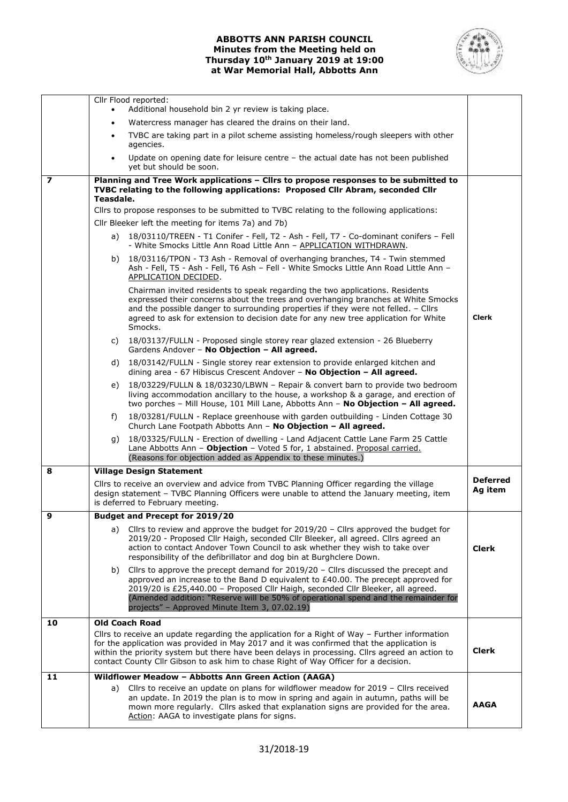# **ABBOTTS ANN PARISH COUNCIL Minutes from the Meeting held on Thursday 10th January 2019 at 19:00 at War Memorial Hall, Abbotts Ann**



|    | Cllr Flood reported:<br>Additional household bin 2 yr review is taking place.                                                                                                                                                                                                                                                                                                         |                                                                                                                                                                                                                                                                                                                                                                                                       |              |  |  |  |  |
|----|---------------------------------------------------------------------------------------------------------------------------------------------------------------------------------------------------------------------------------------------------------------------------------------------------------------------------------------------------------------------------------------|-------------------------------------------------------------------------------------------------------------------------------------------------------------------------------------------------------------------------------------------------------------------------------------------------------------------------------------------------------------------------------------------------------|--------------|--|--|--|--|
|    | Watercress manager has cleared the drains on their land.                                                                                                                                                                                                                                                                                                                              |                                                                                                                                                                                                                                                                                                                                                                                                       |              |  |  |  |  |
|    | $\bullet$<br>TVBC are taking part in a pilot scheme assisting homeless/rough sleepers with other<br>$\bullet$                                                                                                                                                                                                                                                                         |                                                                                                                                                                                                                                                                                                                                                                                                       |              |  |  |  |  |
|    | agencies.                                                                                                                                                                                                                                                                                                                                                                             |                                                                                                                                                                                                                                                                                                                                                                                                       |              |  |  |  |  |
|    | $\bullet$                                                                                                                                                                                                                                                                                                                                                                             | Update on opening date for leisure centre $-$ the actual date has not been published<br>yet but should be soon.                                                                                                                                                                                                                                                                                       |              |  |  |  |  |
| 7  | Planning and Tree Work applications - Cllrs to propose responses to be submitted to<br>TVBC relating to the following applications: Proposed Cllr Abram, seconded Cllr<br>Teasdale.                                                                                                                                                                                                   |                                                                                                                                                                                                                                                                                                                                                                                                       |              |  |  |  |  |
|    | Cllrs to propose responses to be submitted to TVBC relating to the following applications:                                                                                                                                                                                                                                                                                            |                                                                                                                                                                                                                                                                                                                                                                                                       |              |  |  |  |  |
|    |                                                                                                                                                                                                                                                                                                                                                                                       | Cllr Bleeker left the meeting for items 7a) and 7b)                                                                                                                                                                                                                                                                                                                                                   |              |  |  |  |  |
|    |                                                                                                                                                                                                                                                                                                                                                                                       | a) 18/03110/TREEN - T1 Conifer - Fell, T2 - Ash - Fell, T7 - Co-dominant conifers - Fell<br>- White Smocks Little Ann Road Little Ann - APPLICATION WITHDRAWN.                                                                                                                                                                                                                                        |              |  |  |  |  |
|    |                                                                                                                                                                                                                                                                                                                                                                                       | b) 18/03116/TPON - T3 Ash - Removal of overhanging branches, T4 - Twin stemmed<br>Ash - Fell, T5 - Ash - Fell, T6 Ash - Fell - White Smocks Little Ann Road Little Ann -<br>APPLICATION DECIDED.                                                                                                                                                                                                      |              |  |  |  |  |
|    |                                                                                                                                                                                                                                                                                                                                                                                       | Chairman invited residents to speak regarding the two applications. Residents<br>expressed their concerns about the trees and overhanging branches at White Smocks<br>and the possible danger to surrounding properties if they were not felled. - Cllrs<br>agreed to ask for extension to decision date for any new tree application for White<br>Smocks.                                            | <b>Clerk</b> |  |  |  |  |
|    | C)                                                                                                                                                                                                                                                                                                                                                                                    | 18/03137/FULLN - Proposed single storey rear glazed extension - 26 Blueberry<br>Gardens Andover - No Objection - All agreed.                                                                                                                                                                                                                                                                          |              |  |  |  |  |
|    | d)                                                                                                                                                                                                                                                                                                                                                                                    | 18/03142/FULLN - Single storey rear extension to provide enlarged kitchen and<br>dining area - 67 Hibiscus Crescent Andover - No Objection - All agreed.                                                                                                                                                                                                                                              |              |  |  |  |  |
|    | e)                                                                                                                                                                                                                                                                                                                                                                                    | 18/03229/FULLN & 18/03230/LBWN - Repair & convert barn to provide two bedroom<br>living accommodation ancillary to the house, a workshop & a garage, and erection of<br>two porches - Mill House, 101 Mill Lane, Abbotts Ann - No Objection - All agreed.                                                                                                                                             |              |  |  |  |  |
|    | f)                                                                                                                                                                                                                                                                                                                                                                                    | 18/03281/FULLN - Replace greenhouse with garden outbuilding - Linden Cottage 30<br>Church Lane Footpath Abbotts Ann - No Objection - All agreed.                                                                                                                                                                                                                                                      |              |  |  |  |  |
|    |                                                                                                                                                                                                                                                                                                                                                                                       | g) 18/03325/FULLN - Erection of dwelling - Land Adjacent Cattle Lane Farm 25 Cattle<br>Lane Abbotts Ann - Objection - Voted 5 for, 1 abstained. Proposal carried.<br>(Reasons for objection added as Appendix to these minutes.)                                                                                                                                                                      |              |  |  |  |  |
| 8  | <b>Village Design Statement</b>                                                                                                                                                                                                                                                                                                                                                       |                                                                                                                                                                                                                                                                                                                                                                                                       |              |  |  |  |  |
|    |                                                                                                                                                                                                                                                                                                                                                                                       | Cllrs to receive an overview and advice from TVBC Planning Officer regarding the village<br>design statement - TVBC Planning Officers were unable to attend the January meeting, item<br>is deferred to February meeting.                                                                                                                                                                             |              |  |  |  |  |
| 9  |                                                                                                                                                                                                                                                                                                                                                                                       | <b>Budget and Precept for 2019/20</b>                                                                                                                                                                                                                                                                                                                                                                 |              |  |  |  |  |
|    |                                                                                                                                                                                                                                                                                                                                                                                       | a) Cllrs to review and approve the budget for 2019/20 - Cllrs approved the budget for<br>2019/20 - Proposed Cllr Haigh, seconded Cllr Bleeker, all agreed. Cllrs agreed an<br>action to contact Andover Town Council to ask whether they wish to take over<br>responsibility of the defibrillator and dog bin at Burghclere Down.                                                                     | <b>Clerk</b> |  |  |  |  |
|    | b)                                                                                                                                                                                                                                                                                                                                                                                    | Cllrs to approve the precept demand for $2019/20$ – Cllrs discussed the precept and<br>approved an increase to the Band D equivalent to $E40.00$ . The precept approved for<br>2019/20 is £25,440.00 - Proposed Cllr Haigh, seconded Cllr Bleeker, all agreed.<br>(Amended addition: "Reserve will be 50% of operational spend and the remainder for<br>projects" - Approved Minute Item 3, 07.02.19) |              |  |  |  |  |
| 10 |                                                                                                                                                                                                                                                                                                                                                                                       | <b>Old Coach Road</b>                                                                                                                                                                                                                                                                                                                                                                                 |              |  |  |  |  |
|    | Cllrs to receive an update regarding the application for a Right of Way $-$ Further information<br>for the application was provided in May 2017 and it was confirmed that the application is<br>within the priority system but there have been delays in processing. Cllrs agreed an action to<br>contact County Cllr Gibson to ask him to chase Right of Way Officer for a decision. |                                                                                                                                                                                                                                                                                                                                                                                                       |              |  |  |  |  |
| 11 |                                                                                                                                                                                                                                                                                                                                                                                       | Wildflower Meadow - Abbotts Ann Green Action (AAGA)                                                                                                                                                                                                                                                                                                                                                   |              |  |  |  |  |
|    | a)                                                                                                                                                                                                                                                                                                                                                                                    | Cllrs to receive an update on plans for wildflower meadow for 2019 - Cllrs received<br>an update. In 2019 the plan is to mow in spring and again in autumn, paths will be<br>mown more regularly. Cllrs asked that explanation signs are provided for the area.<br>Action: AAGA to investigate plans for signs.                                                                                       | <b>AAGA</b>  |  |  |  |  |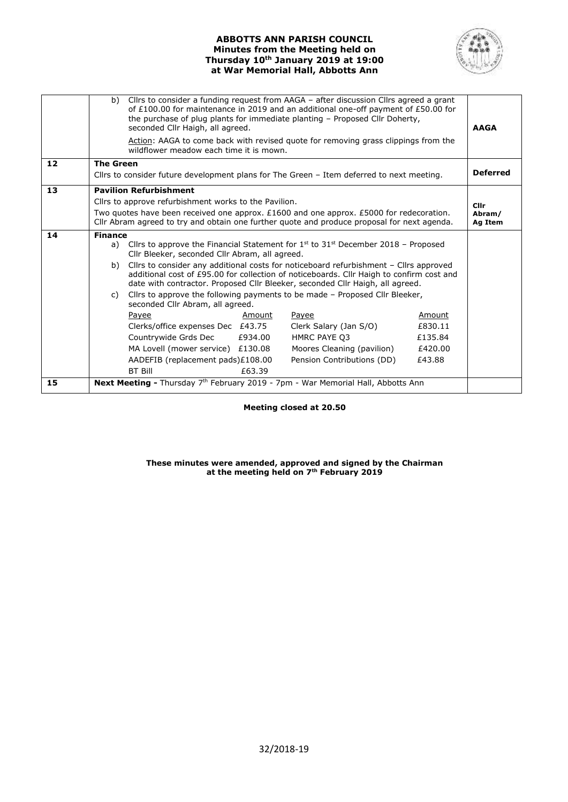# **ABBOTTS ANN PARISH COUNCIL Minutes from the Meeting held on Thursday 10th January 2019 at 19:00 at War Memorial Hall, Abbotts Ann**



|    | b)                                                                                                                    | seconded Cllr Haigh, all agreed.                                                                                                                                                                                                                                   |         | Cllrs to consider a funding request from AAGA - after discussion Cllrs agreed a grant<br>of £100.00 for maintenance in 2019 and an additional one-off payment of £50.00 for<br>the purchase of plug plants for immediate planting - Proposed Cllr Doherty, |         | <b>AAGA</b> |  |  |
|----|-----------------------------------------------------------------------------------------------------------------------|--------------------------------------------------------------------------------------------------------------------------------------------------------------------------------------------------------------------------------------------------------------------|---------|------------------------------------------------------------------------------------------------------------------------------------------------------------------------------------------------------------------------------------------------------------|---------|-------------|--|--|
|    |                                                                                                                       | Action: AAGA to come back with revised quote for removing grass clippings from the<br>wildflower meadow each time it is mown.                                                                                                                                      |         |                                                                                                                                                                                                                                                            |         |             |  |  |
| 12 | <b>The Green</b>                                                                                                      |                                                                                                                                                                                                                                                                    |         |                                                                                                                                                                                                                                                            |         |             |  |  |
|    | Cllrs to consider future development plans for The Green - Item deferred to next meeting.                             |                                                                                                                                                                                                                                                                    |         |                                                                                                                                                                                                                                                            |         |             |  |  |
| 13 | <b>Pavilion Refurbishment</b>                                                                                         |                                                                                                                                                                                                                                                                    |         |                                                                                                                                                                                                                                                            |         |             |  |  |
|    | Cllrs to approve refurbishment works to the Pavilion.<br><b>Clir</b>                                                  |                                                                                                                                                                                                                                                                    |         |                                                                                                                                                                                                                                                            |         |             |  |  |
|    | Two quotes have been received one approx. £1600 and one approx. £5000 for redecoration.<br>Abram/                     |                                                                                                                                                                                                                                                                    |         |                                                                                                                                                                                                                                                            |         |             |  |  |
|    | Cllr Abram agreed to try and obtain one further quote and produce proposal for next agenda.<br>Ag Item                |                                                                                                                                                                                                                                                                    |         |                                                                                                                                                                                                                                                            |         |             |  |  |
| 14 | <b>Finance</b>                                                                                                        |                                                                                                                                                                                                                                                                    |         |                                                                                                                                                                                                                                                            |         |             |  |  |
|    | a)                                                                                                                    | Cllrs to approve the Financial Statement for $1^{st}$ to $31^{st}$ December 2018 – Proposed<br>Cllr Bleeker, seconded Cllr Abram, all agreed.                                                                                                                      |         |                                                                                                                                                                                                                                                            |         |             |  |  |
|    | b)                                                                                                                    | Cllrs to consider any additional costs for noticeboard refurbishment – Cllrs approved<br>additional cost of £95.00 for collection of noticeboards. Cllr Haigh to confirm cost and<br>date with contractor. Proposed Cllr Bleeker, seconded Cllr Haigh, all agreed. |         |                                                                                                                                                                                                                                                            |         |             |  |  |
|    | Cllrs to approve the following payments to be made - Proposed Cllr Bleeker,<br>C)<br>seconded Cllr Abram, all agreed. |                                                                                                                                                                                                                                                                    |         |                                                                                                                                                                                                                                                            |         |             |  |  |
|    |                                                                                                                       | Payee                                                                                                                                                                                                                                                              | Amount  | <b>Payee</b>                                                                                                                                                                                                                                               | Amount  |             |  |  |
|    |                                                                                                                       | Clerks/office expenses Dec £43.75                                                                                                                                                                                                                                  |         | Clerk Salary (Jan S/O)                                                                                                                                                                                                                                     | £830.11 |             |  |  |
|    |                                                                                                                       | Countrywide Grds Dec                                                                                                                                                                                                                                               | £934.00 | HMRC PAYE Q3                                                                                                                                                                                                                                               | £135.84 |             |  |  |
|    |                                                                                                                       | MA Lovell (mower service) £130.08                                                                                                                                                                                                                                  |         | Moores Cleaning (pavilion)                                                                                                                                                                                                                                 | £420.00 |             |  |  |
|    |                                                                                                                       | AADEFIB (replacement pads)£108.00                                                                                                                                                                                                                                  |         | Pension Contributions (DD)                                                                                                                                                                                                                                 | £43.88  |             |  |  |
|    |                                                                                                                       | <b>BT Bill</b>                                                                                                                                                                                                                                                     | £63.39  |                                                                                                                                                                                                                                                            |         |             |  |  |
| 15 | <b>Next Meeting - Thursday 7th February 2019 - 7pm - War Memorial Hall, Abbotts Ann</b>                               |                                                                                                                                                                                                                                                                    |         |                                                                                                                                                                                                                                                            |         |             |  |  |

**Meeting closed at 20.50**

**These minutes were amended, approved and signed by the Chairman at the meeting held on 7th February 2019**